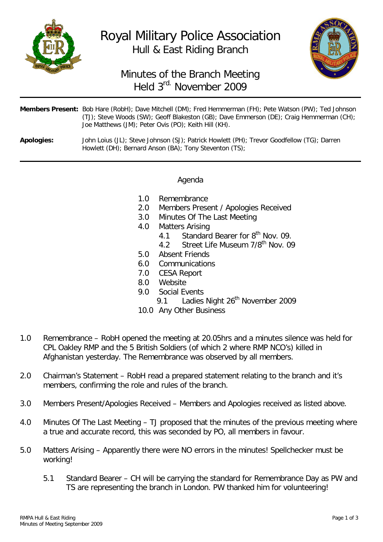

Royal Military Police Association Hull & East Riding Branch



## Minutes of the Branch Meeting Held 3rd. November 2009

|            | <b>Members Present:</b> Bob Hare (RobH); Dave Mitchell (DM); Fred Hemmerman (FH); Pete Watson (PW); Ted Johnson<br>(TJ); Steve Woods (SW); Geoff Blakeston (GB); Dave Emmerson (DE); Craig Hemmerman (CH);<br>Joe Matthews (JM); Peter Ovis (PO); Keith Hill (KH). |
|------------|--------------------------------------------------------------------------------------------------------------------------------------------------------------------------------------------------------------------------------------------------------------------|
| Apologies: | John Loius (JL); Steve Johnson (SJ); Patrick Howlett (PH); Trevor Goodfellow (TG); Darren<br>Howlett (DH): Bernard Anson (BA): Tony Steventon (TS):                                                                                                                |

## Agenda

- 1.0 Remembrance<br>2.0 Members Prese
- Members Present / Apologies Received
- 3.0 Minutes Of The Last Meeting
- 4.0 Matters Arising<br>4.1 Standard
	- 4.1 Standard Bearer for  $8^{th}$  Nov. 09.<br>4.2 Street Life Museum  $7/8^{th}$  Nov. 09
	- Street Life Museum 7/8<sup>th</sup> Nov. 09
- 5.0 Absent Friends
- 6.0 Communications
- 7.0 CESA Report
- 8.0 Website<br>9.0 Social Fy
- Social Events<br>9.1 I adies
	- Ladies Night 26<sup>th</sup> November 2009
- 10.0 Any Other Business
- 1.0 Remembrance RobH opened the meeting at 20.05hrs and a minutes silence was held for CPL Oakley RMP and the 5 British Soldiers (of which 2 where RMP NCO's) killed in Afghanistan yesterday. The Remembrance was observed by all members.
- 2.0 Chairman's Statement RobH read a prepared statement relating to the branch and it's members, confirming the role and rules of the branch.
- 3.0 Members Present/Apologies Received Members and Apologies received as listed above.
- 4.0 Minutes Of The Last Meeting TJ proposed that the minutes of the previous meeting where a true and accurate record, this was seconded by PO, all members in favour.
- 5.0 Matters Arising Apparently there were NO errors in the minutes! Spellchecker must be working!
	- 5.1 Standard Bearer CH will be carrying the standard for Remembrance Day as PW and TS are representing the branch in London. PW thanked him for volunteering!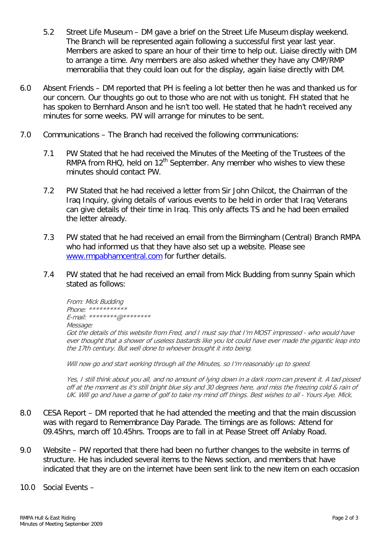- 5.2 Street Life Museum DM gave a brief on the Street Life Museum display weekend. The Branch will be represented again following a successful first year last year. Members are asked to spare an hour of their time to help out. Liaise directly with DM to arrange a time. Any members are also asked whether they have any CMP/RMP memorabilia that they could loan out for the display, again liaise directly with DM.
- 6.0 Absent Friends DM reported that PH is feeling a lot better then he was and thanked us for our concern. Our thoughts go out to those who are not with us tonight. FH stated that he has spoken to Bernhard Anson and he isn't too well. He stated that he hadn't received any minutes for some weeks. PW will arrange for minutes to be sent.
- 7.0 Communications The Branch had received the following communications:
	- 7.1 PW Stated that he had received the Minutes of the Meeting of the Trustees of the RMPA from RHQ, held on  $12<sup>th</sup>$  September. Any member who wishes to view these minutes should contact PW.
	- 7.2 PW Stated that he had received a letter from Sir John Chilcot, the Chairman of the Iraq Inquiry, giving details of various events to be held in order that Iraq Veterans can give details of their time in Iraq. This only affects TS and he had been emailed the letter already.
	- 7.3 PW stated that he had received an email from the Birmingham (Central) Branch RMPA who had informed us that they have also set up a website. Please see [www.rmpabhamcentral.com](http://www.rmpabhamcentral.com/) for further details.
	- 7.4 PW stated that he had received an email from Mick Budding from sunny Spain which stated as follows:

From: Mick Budding Phone: \*\*\*\*\*\*\*\*\*\*\* E-mail: \*\*\*\*\*\*\*\*@\*\*\*\*\*\*\*\* Message: Got the details of this website from Fred, and I must say that I'm MOST impressed - who would have ever thought that a shower of useless bastards like you lot could have ever made the gigantic leap into the 17th century. But well done to whoever brought it into being.

Will now go and start working through all the Minutes, so I'm reasonably up to speed.

Yes, I still think about you all, and no amount of lying down in a dark room can prevent it. A tad pissed off at the moment as it's still bright blue sky and 30 degrees here, and miss the freezing cold & rain of UK. Will go and have a game of golf to take my mind off things. Best wishes to all - Yours Aye. Mick.

- 8.0 CESA Report DM reported that he had attended the meeting and that the main discussion was with regard to Remembrance Day Parade. The timings are as follows: Attend for 09.45hrs, march off 10.45hrs. Troops are to fall in at Pease Street off Anlaby Road.
- 9.0 Website PW reported that there had been no further changes to the website in terms of structure. He has included several items to the News section, and members that have indicated that they are on the internet have been sent link to the new item on each occasion
- 10.0 Social Events –